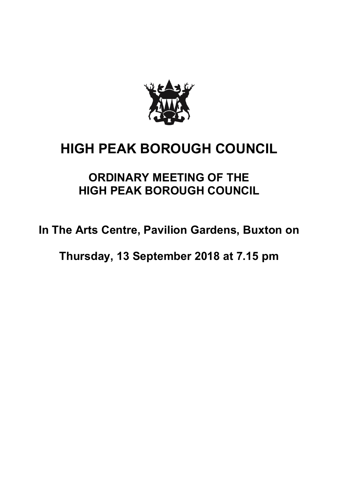

## **HIGH PEAK BOROUGH COUNCIL**

## **ORDINARY MEETING OF THE HIGH PEAK BOROUGH COUNCIL**

**In The Arts Centre, Pavilion Gardens, Buxton on**

**Thursday, 13 September 2018 at 7.15 pm**